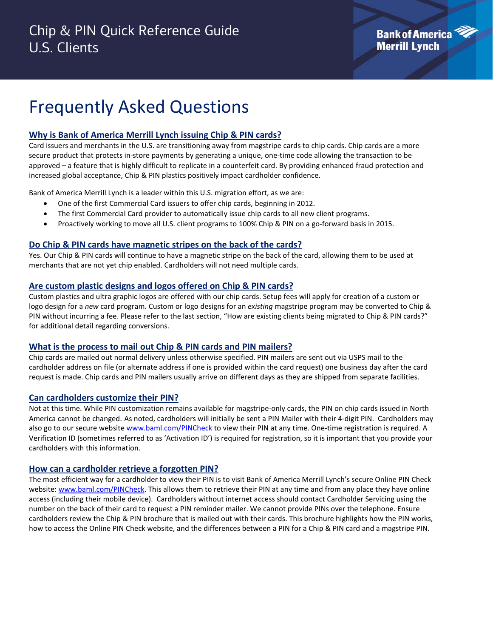# Frequently Asked Questions

## **Why is Bank of America Merrill Lynch issuing Chip & PIN cards?**

Card issuers and merchants in the U.S. are transitioning away from magstripe cards to chip cards. Chip cards are a more secure product that protects in-store payments by generating a unique, one-time code allowing the transaction to be approved – a feature that is highly difficult to replicate in a counterfeit card. By providing enhanced fraud protection and increased global acceptance, Chip & PIN plastics positively impact cardholder confidence.

Bank of America Merrill Lynch is a leader within this U.S. migration effort, as we are:

- One of the first Commercial Card issuers to offer chip cards, beginning in 2012.
- The first Commercial Card provider to automatically issue chip cards to all new client programs.
- Proactively working to move all U.S. client programs to 100% Chip & PIN on a go-forward basis in 2015.

## **Do Chip & PIN cards have magnetic stripes on the back of the cards?**

Yes. Our Chip & PIN cards will continue to have a magnetic stripe on the back of the card, allowing them to be used at merchants that are not yet chip enabled. Cardholders will not need multiple cards.

## **Are custom plastic designs and logos offered on Chip & PIN cards?**

Custom plastics and ultra graphic logos are offered with our chip cards. Setup fees will apply for creation of a custom or logo design for a *new* card program. Custom or logo designs for an *existing* magstripe program may be converted to Chip & PIN without incurring a fee. Please refer to the last section, "How are existing clients being migrated to Chip & PIN cards?" for additional detail regarding conversions.

## **What is the process to mail out Chip & PIN cards and PIN mailers?**

Chip cards are mailed out normal delivery unless otherwise specified. PIN mailers are sent out via USPS mail to the cardholder address on file (or alternate address if one is provided within the card request) one business day after the card request is made. Chip cards and PIN mailers usually arrive on different days as they are shipped from separate facilities.

#### **Can cardholders customize their PIN?**

Not at this time. While PIN customization remains available for magstripe-only cards, the PIN on chip cards issued in North America cannot be changed. As noted, cardholders will initially be sent a PIN Mailer with their 4-digit PIN. Cardholders may also go to our secure website [www.baml.com/PINCheck](http://www.baml.com/PINCheck) to view their PIN at any time. One-time registration is required. A Verification ID (sometimes referred to as 'Activation ID') is required for registration, so it is important that you provide your cardholders with this information.

## **How can a cardholder retrieve a forgotten PIN?**

The most efficient way for a cardholder to view their PIN is to visit Bank of America Merrill Lynch's secure Online PIN Check website: [www.baml.com/PINCheck.](http://www.baml.com/PINCheck) This allows them to retrieve their PIN at any time and from any place they have online access (including their mobile device). Cardholders without internet access should contact Cardholder Servicing using the number on the back of their card to request a PIN reminder mailer. We cannot provide PINs over the telephone. Ensure cardholders review the Chip & PIN brochure that is mailed out with their cards. This brochure highlights how the PIN works, how to access the Online PIN Check website, and the differences between a PIN for a Chip & PIN card and a magstripe PIN.